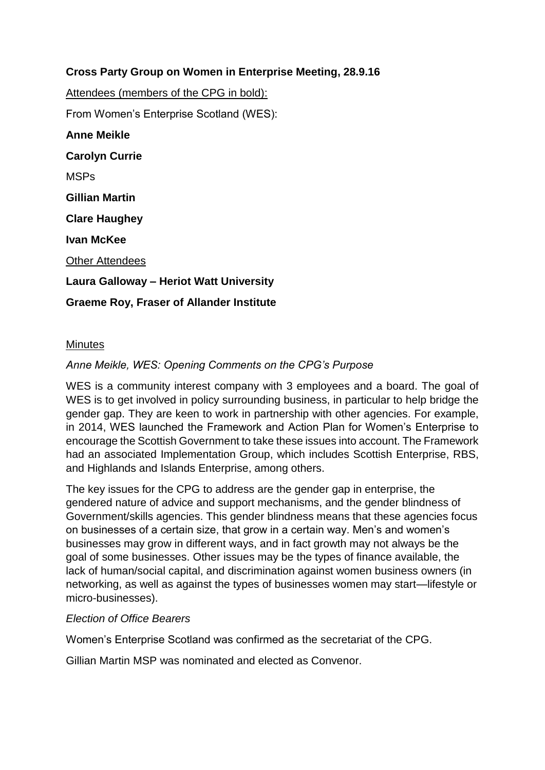## **Cross Party Group on Women in Enterprise Meeting, 28.9.16**

Attendees (members of the CPG in bold):

From Women's Enterprise Scotland (WES):

**Anne Meikle Carolyn Currie** MSPs **Gillian Martin Clare Haughey Ivan McKee** Other Attendees **Laura Galloway – Heriot Watt University Graeme Roy, Fraser of Allander Institute**

### **Minutes**

### *Anne Meikle, WES: Opening Comments on the CPG's Purpose*

WES is a community interest company with 3 employees and a board. The goal of WES is to get involved in policy surrounding business, in particular to help bridge the gender gap. They are keen to work in partnership with other agencies. For example, in 2014, WES launched the Framework and Action Plan for Women's Enterprise to encourage the Scottish Government to take these issues into account. The Framework had an associated Implementation Group, which includes Scottish Enterprise, RBS, and Highlands and Islands Enterprise, among others.

The key issues for the CPG to address are the gender gap in enterprise, the gendered nature of advice and support mechanisms, and the gender blindness of Government/skills agencies. This gender blindness means that these agencies focus on businesses of a certain size, that grow in a certain way. Men's and women's businesses may grow in different ways, and in fact growth may not always be the goal of some businesses. Other issues may be the types of finance available, the lack of human/social capital, and discrimination against women business owners (in networking, as well as against the types of businesses women may start—lifestyle or micro-businesses).

#### *Election of Office Bearers*

Women's Enterprise Scotland was confirmed as the secretariat of the CPG.

Gillian Martin MSP was nominated and elected as Convenor.